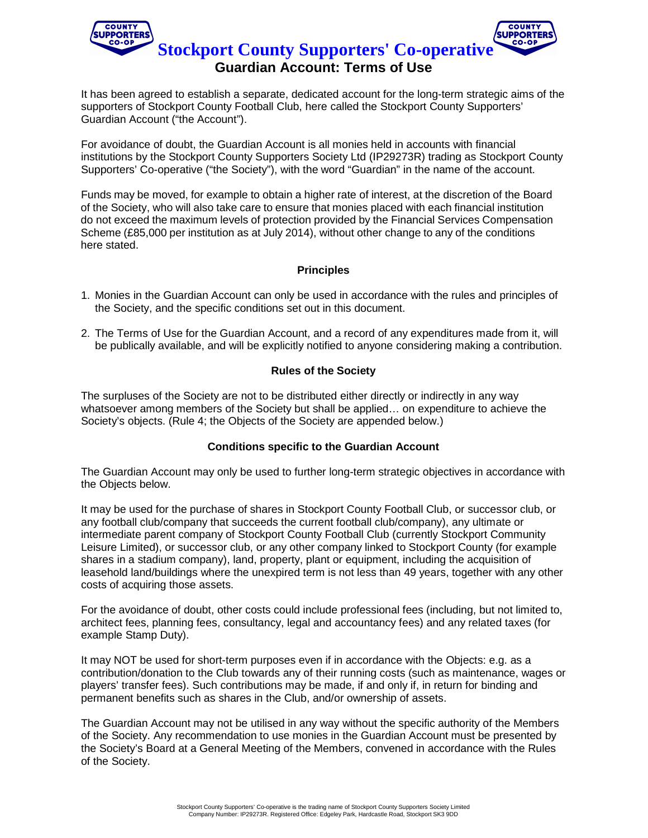

It has been agreed to establish a separate, dedicated account for the long-term strategic aims of the supporters of Stockport County Football Club, here called the Stockport County Supporters' Guardian Account ("the Account").

For avoidance of doubt, the Guardian Account is all monies held in accounts with financial institutions by the Stockport County Supporters Society Ltd (IP29273R) trading as Stockport County Supporters' Co-operative ("the Society"), with the word "Guardian" in the name of the account.

Funds may be moved, for example to obtain a higher rate of interest, at the discretion of the Board of the Society, who will also take care to ensure that monies placed with each financial institution do not exceed the maximum levels of protection provided by the Financial Services Compensation Scheme (£85,000 per institution as at July 2014), without other change to any of the conditions here stated.

# **Principles**

- 1. Monies in the Guardian Account can only be used in accordance with the rules and principles of the Society, and the specific conditions set out in this document.
- 2. The Terms of Use for the Guardian Account, and a record of any expenditures made from it, will be publically available, and will be explicitly notified to anyone considering making a contribution.

# **Rules of the Society**

The surpluses of the Society are not to be distributed either directly or indirectly in any way whatsoever among members of the Society but shall be applied… on expenditure to achieve the Society's objects. (Rule 4; the Objects of the Society are appended below.)

# **Conditions specific to the Guardian Account**

The Guardian Account may only be used to further long-term strategic objectives in accordance with the Objects below.

It may be used for the purchase of shares in Stockport County Football Club, or successor club, or any football club/company that succeeds the current football club/company), any ultimate or intermediate parent company of Stockport County Football Club (currently Stockport Community Leisure Limited), or successor club, or any other company linked to Stockport County (for example shares in a stadium company), land, property, plant or equipment, including the acquisition of leasehold land/buildings where the unexpired term is not less than 49 years, together with any other costs of acquiring those assets.

For the avoidance of doubt, other costs could include professional fees (including, but not limited to, architect fees, planning fees, consultancy, legal and accountancy fees) and any related taxes (for example Stamp Duty).

It may NOT be used for short-term purposes even if in accordance with the Objects: e.g. as a contribution/donation to the Club towards any of their running costs (such as maintenance, wages or players' transfer fees). Such contributions may be made, if and only if, in return for binding and permanent benefits such as shares in the Club, and/or ownership of assets.

The Guardian Account may not be utilised in any way without the specific authority of the Members of the Society. Any recommendation to use monies in the Guardian Account must be presented by the Society's Board at a General Meeting of the Members, convened in accordance with the Rules of the Society.